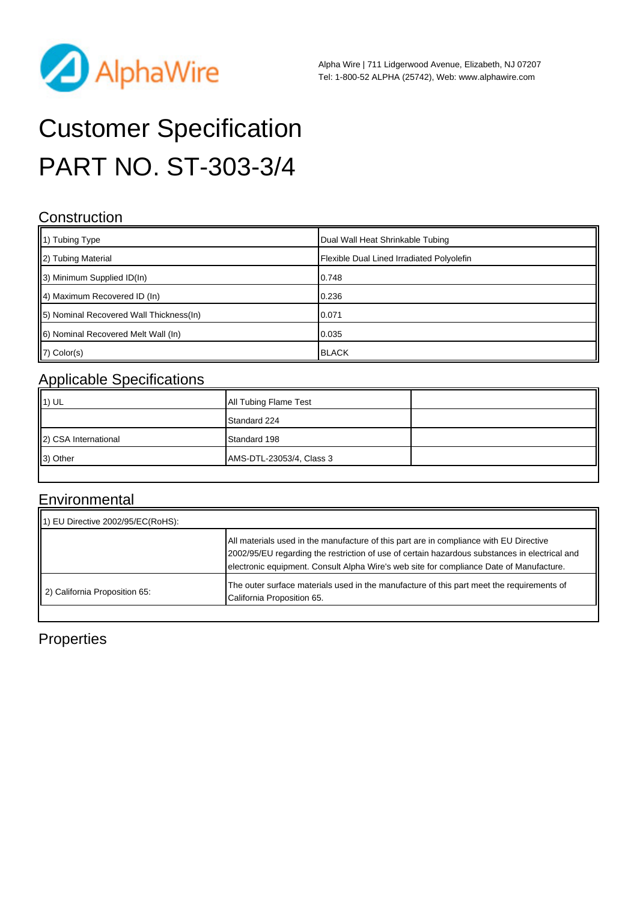

# Customer Specification PART NO. ST-303-3/4

#### **Construction**

| $\parallel$ 1) Tubing Type               | Dual Wall Heat Shrinkable Tubing          |
|------------------------------------------|-------------------------------------------|
| 2) Tubing Material                       | Flexible Dual Lined Irradiated Polyolefin |
| 3) Minimum Supplied ID(In)               | 0.748                                     |
| 4) Maximum Recovered ID (In)             | 0.236                                     |
| [5] Nominal Recovered Wall Thickness(In) | 0.071                                     |
| 6) Nominal Recovered Melt Wall (In)      | 0.035                                     |
| $ 7)$ Color(s)                           | <b>BLACK</b>                              |

## Applicable Specifications

| All Tubing Flame Test    |  |
|--------------------------|--|
| Standard 224             |  |
| Standard 198             |  |
| AMS-DTL-23053/4, Class 3 |  |
|                          |  |

#### **Environmental**

| 1) EU Directive 2002/95/EC(RoHS): |                                                                                                                                                                                                                                                                                    |
|-----------------------------------|------------------------------------------------------------------------------------------------------------------------------------------------------------------------------------------------------------------------------------------------------------------------------------|
|                                   | All materials used in the manufacture of this part are in compliance with EU Directive<br>2002/95/EU regarding the restriction of use of certain hazardous substances in electrical and<br>electronic equipment. Consult Alpha Wire's web site for compliance Date of Manufacture. |
| 2) California Proposition 65:     | The outer surface materials used in the manufacture of this part meet the requirements of<br>California Proposition 65.                                                                                                                                                            |

### **Properties**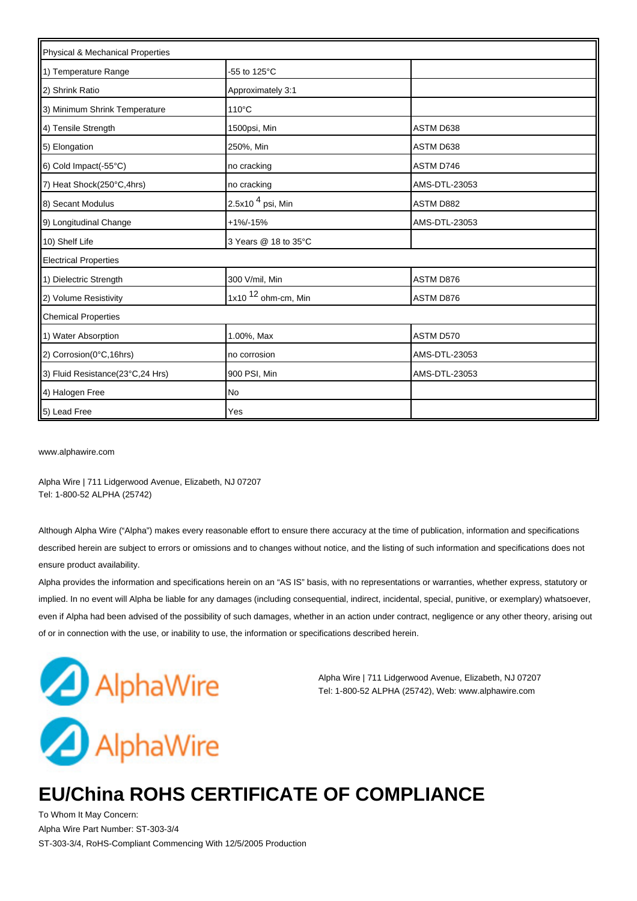| Physical & Mechanical Properties |                                 |               |  |  |
|----------------------------------|---------------------------------|---------------|--|--|
| 1) Temperature Range             | -55 to 125 $\mathrm{^{\circ}C}$ |               |  |  |
| 2) Shrink Ratio                  | Approximately 3:1               |               |  |  |
| 3) Minimum Shrink Temperature    | 110°C                           |               |  |  |
| 4) Tensile Strength              | 1500psi, Min                    | ASTM D638     |  |  |
| 5) Elongation                    | 250%, Min                       | ASTM D638     |  |  |
| 6) Cold Impact(-55°C)            | no cracking                     | ASTM D746     |  |  |
| 7) Heat Shock(250°C,4hrs)        | no cracking                     | AMS-DTL-23053 |  |  |
| 8) Secant Modulus                | 2.5x10 <sup>4</sup> psi, Min    | ASTM D882     |  |  |
| 9) Longitudinal Change           | $+1\% - 15\%$                   | AMS-DTL-23053 |  |  |
| 10) Shelf Life                   | 3 Years @ 18 to 35°C            |               |  |  |
| <b>Electrical Properties</b>     |                                 |               |  |  |
| 1) Dielectric Strength           | 300 V/mil, Min                  | ASTM D876     |  |  |
| 2) Volume Resistivity            | 1x10 $12$ ohm-cm, Min           | ASTM D876     |  |  |
| <b>Chemical Properties</b>       |                                 |               |  |  |
| 1) Water Absorption              | 1.00%, Max                      | ASTM D570     |  |  |
| 2) Corrosion(0°C,16hrs)          | no corrosion                    | AMS-DTL-23053 |  |  |
| 3) Fluid Resistance(23°C,24 Hrs) | 900 PSI, Min                    | AMS-DTL-23053 |  |  |
| 4) Halogen Free                  | No                              |               |  |  |
| 5) Lead Free                     | Yes                             |               |  |  |

[www.alphawire.com](http://www.alphawire.com)

Alpha Wire | 711 Lidgerwood Avenue, Elizabeth, NJ 07207 Tel: 1-800-52 ALPHA (25742)

Although Alpha Wire ("Alpha") makes every reasonable effort to ensure there accuracy at the time of publication, information and specifications described herein are subject to errors or omissions and to changes without notice, and the listing of such information and specifications does not ensure product availability.

Alpha provides the information and specifications herein on an "AS IS" basis, with no representations or warranties, whether express, statutory or implied. In no event will Alpha be liable for any damages (including consequential, indirect, incidental, special, punitive, or exemplary) whatsoever, even if Alpha had been advised of the possibility of such damages, whether in an action under contract, negligence or any other theory, arising out of or in connection with the use, or inability to use, the information or specifications described herein.



Alpha Wire | 711 Lidgerwood Avenue, Elizabeth, NJ 07207 Tel: 1-800-52 ALPHA (25742), Web: www.alphawire.com

# **EU/China ROHS CERTIFICATE OF COMPLIANCE**

To Whom It May Concern: Alpha Wire Part Number: ST-303-3/4 ST-303-3/4, RoHS-Compliant Commencing With 12/5/2005 Production